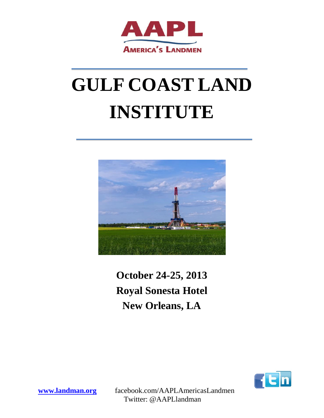

# **GULF COAST LAND INSTITUTE**



# **October 24-25, 2013 Royal Sonesta Hotel New Orleans, LA**



**[www.landman.org](http://www.landman.org/)** facebook.com/AAPLAmericasLandmen Twitter: @AAPLlandman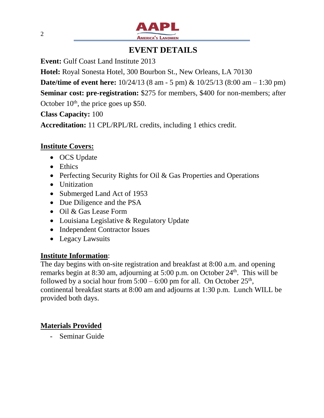

## **EVENT DETAILS**

**Event:** Gulf Coast Land Institute 2013

**Hotel:** Royal Sonesta Hotel, 300 Bourbon St., New Orleans, LA 70130

**Date/time of event here:**  $10/24/13$  (8 am - 5 pm) &  $10/25/13$  (8:00 am – 1:30 pm)

**Seminar cost: pre-registration:** \$275 for members, \$400 for non-members; after October  $10<sup>th</sup>$ , the price goes up \$50.

**Class Capacity:** 100

**Accreditation:** 11 CPL/RPL/RL credits, including 1 ethics credit.

#### **Institute Covers:**

- OCS Update
- Ethics
- Perfecting Security Rights for Oil & Gas Properties and Operations
- Unitization
- Submerged Land Act of 1953
- Due Diligence and the PSA
- Oil & Gas Lease Form
- Louisiana Legislative & Regulatory Update
- Independent Contractor Issues
- Legacy Lawsuits

#### **Institute Information**:

The day begins with on-site registration and breakfast at 8:00 a.m. and opening remarks begin at 8:30 am, adjourning at 5:00 p.m. on October 24th. This will be followed by a social hour from  $5:00 - 6:00$  pm for all. On October  $25<sup>th</sup>$ , continental breakfast starts at 8:00 am and adjourns at 1:30 p.m. Lunch WILL be provided both days.

### **Materials Provided**

- Seminar Guide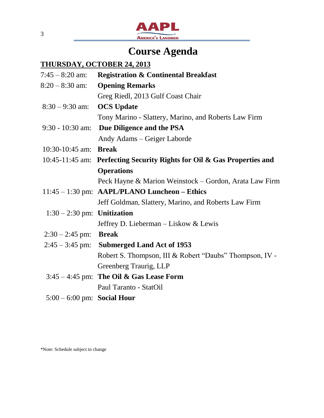

# **Course Agenda**

## **THURSDAY, OCTOBER 24, 2013**

| $7:45 - 8:20$ am:             | <b>Registration &amp; Continental Breakfast</b>                         |
|-------------------------------|-------------------------------------------------------------------------|
| $8:20 - 8:30$ am:             | <b>Opening Remarks</b>                                                  |
|                               | Greg Riedl, 2013 Gulf Coast Chair                                       |
| $8:30 - 9:30$ am:             | <b>OCS</b> Update                                                       |
|                               | Tony Marino - Slattery, Marino, and Roberts Law Firm                    |
| 9:30 - 10:30 am:              | Due Diligence and the PSA                                               |
|                               | Andy Adams – Geiger Laborde                                             |
| 10:30-10:45 am: Break         |                                                                         |
|                               | 10:45-11:45 am: Perfecting Security Rights for Oil & Gas Properties and |
|                               | <b>Operations</b>                                                       |
|                               | Peck Hayne & Marion Weinstock – Gordon, Arata Law Firm                  |
|                               | $11:45 - 1:30$ pm: AAPL/PLANO Luncheon – Ethics                         |
|                               | Jeff Goldman, Slattery, Marino, and Roberts Law Firm                    |
| $1:30 - 2:30$ pm: Unitization |                                                                         |
|                               | Jeffrey D. Lieberman – Liskow & Lewis                                   |
| $2:30 - 2:45$ pm:             | <b>Break</b>                                                            |
| $2:45 - 3:45$ pm:             | <b>Submerged Land Act of 1953</b>                                       |
|                               | Robert S. Thompson, III & Robert "Daubs" Thompson, IV -                 |
|                               | Greenberg Traurig, LLP                                                  |
|                               | $3:45 - 4:45$ pm: The Oil & Gas Lease Form                              |
|                               | Paul Taranto - StatOil                                                  |
| $5:00 - 6:00$ pm: Social Hour |                                                                         |

\*Note: Schedule subject to change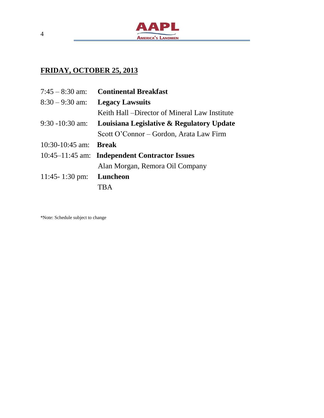

## **FRIDAY, OCTOBER 25, 2013**

| $7:45 - 8:30$ am:              | <b>Continental Breakfast</b>                   |
|--------------------------------|------------------------------------------------|
| $8:30 - 9:30$ am:              | <b>Legacy Lawsuits</b>                         |
|                                | Keith Hall – Director of Mineral Law Institute |
| $9:30 - 10:30$ am:             | Louisiana Legislative & Regulatory Update      |
|                                | Scott O'Connor – Gordon, Arata Law Firm        |
| 10:30-10:45 am: <b>Break</b>   |                                                |
|                                | 10:45–11:45 am: Independent Contractor Issues  |
|                                | Alan Morgan, Remora Oil Company                |
| 11:45-1:30 pm: <b>Luncheon</b> |                                                |
|                                | <b>TRA</b>                                     |

\*Note: Schedule subject to change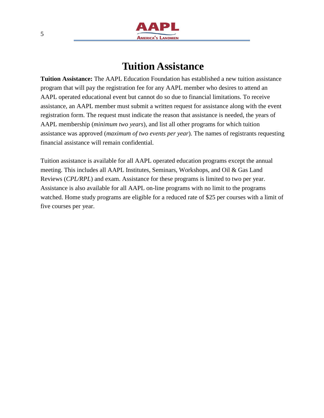

## **Tuition Assistance**

**Tuition Assistance:** The AAPL Education Foundation has established a new tuition assistance program that will pay the registration fee for any AAPL member who desires to attend an AAPL operated educational event but cannot do so due to financial limitations. To receive assistance, an AAPL member must submit a written request for assistance along with the event registration form. The request must indicate the reason that assistance is needed, the years of AAPL membership (*minimum two years*), and list all other programs for which tuition assistance was approved (*maximum of two events per year*). The names of registrants requesting financial assistance will remain confidential.

Tuition assistance is available for all AAPL operated education programs except the annual meeting. This includes all AAPL Institutes, Seminars, Workshops, and Oil & Gas Land Reviews (*CPL/RPL*) and exam. Assistance for these programs is limited to two per year. Assistance is also available for all AAPL on-line programs with no limit to the programs watched. Home study programs are eligible for a reduced rate of \$25 per courses with a limit of five courses per year.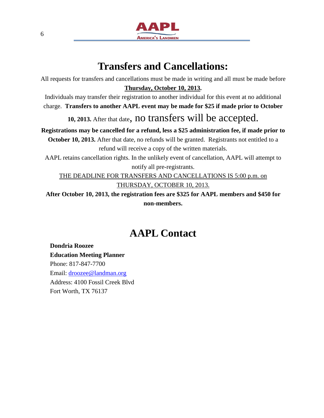

## **Transfers and Cancellations:**

All requests for transfers and cancellations must be made in writing and all must be made before **Thursday, October 10, 2013.**

Individuals may transfer their registration to another individual for this event at no additional charge. **Transfers to another AAPL event may be made for \$25 if made prior to October** 

**10, 2013.** After that date, no transfers will be accepted.

**Registrations may be cancelled for a refund, less a \$25 administration fee, if made prior to October 10, 2013.** After that date, no refunds will be granted. Registrants not entitled to a refund will receive a copy of the written materials.

AAPL retains cancellation rights. In the unlikely event of cancellation, AAPL will attempt to notify all pre-registrants.

THE DEADLINE FOR TRANSFERS AND CANCELLATIONS IS 5:00 p.m. on THURSDAY, OCTOBER 10, 2013.

**After October 10, 2013, the registration fees are \$325 for AAPL members and \$450 for non-members.**

## **AAPL Contact**

**Dondria Roozee Education Meeting Planner** Phone: 817-847-7700 Email: [droozee@landman.org](mailto:droozee@landman.org) Address: 4100 Fossil Creek Blvd Fort Worth, TX 76137